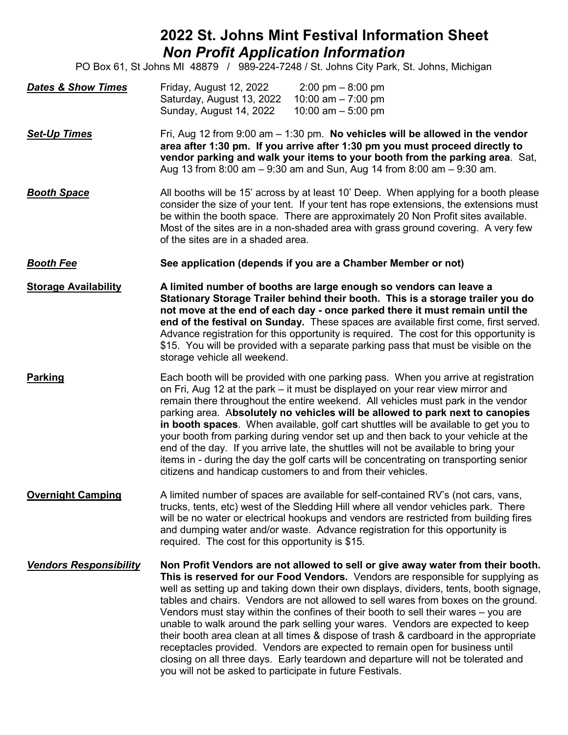## **2022 St. Johns Mint Festival Information Sheet** *Non Profit Application Information*

PO Box 61, St Johns MI 48879 / 989-224-7248 / St. Johns City Park, St. Johns, Michigan

| <b>Dates &amp; Show Times</b> | Friday, August 12, 2022   | $2:00 \text{ pm} - 8:00 \text{ pm}$ |
|-------------------------------|---------------------------|-------------------------------------|
|                               | Saturday, August 13, 2022 | 10:00 am – 7:00 pm                  |
|                               | Sunday, August 14, 2022   | 10:00 am $-$ 5:00 pm                |

**Set-Up Times** Fri, Aug 12 from 9:00 am – 1:30 pm. **No vehicles will be allowed in the vendor area after 1:30 pm. If you arrive after 1:30 pm you must proceed directly to vendor parking and walk your items to your booth from the parking area**. Sat, Aug 13 from 8:00 am – 9:30 am and Sun, Aug 14 from 8:00 am – 9:30 am.

- **Booth Space** All booths will be 15' across by at least 10' Deep. When applying for a booth please consider the size of your tent. If your tent has rope extensions, the extensions must be within the booth space. There are approximately 20 Non Profit sites available. Most of the sites are in a non-shaded area with grass ground covering. A very few of the sites are in a shaded area.
- *Booth Fee* **See application (depends if you are a Chamber Member or not)**

**Storage Availability A limited number of booths are large enough so vendors can leave a Stationary Storage Trailer behind their booth. This is a storage trailer you do not move at the end of each day - once parked there it must remain until the end of the festival on Sunday.** These spaces are available first come, first served. Advance registration for this opportunity is required. The cost for this opportunity is \$15. You will be provided with a separate parking pass that must be visible on the storage vehicle all weekend.

- **Parking** Each booth will be provided with one parking pass. When you arrive at registration on Fri, Aug 12 at the park – it must be displayed on your rear view mirror and remain there throughout the entire weekend. All vehicles must park in the vendor parking area. A**bsolutely no vehicles will be allowed to park next to canopies in booth spaces**. When available, golf cart shuttles will be available to get you to your booth from parking during vendor set up and then back to your vehicle at the end of the day. If you arrive late, the shuttles will not be available to bring your items in - during the day the golf carts will be concentrating on transporting senior citizens and handicap customers to and from their vehicles.
- **Overnight Camping** A limited number of spaces are available for self-contained RV's (not cars, vans, trucks, tents, etc) west of the Sledding Hill where all vendor vehicles park. There will be no water or electrical hookups and vendors are restricted from building fires and dumping water and/or waste. Advance registration for this opportunity is required. The cost for this opportunity is \$15.

*Vendors Responsibility* **Non Profit Vendors are not allowed to sell or give away water from their booth. This is reserved for our Food Vendors.** Vendors are responsible for supplying as well as setting up and taking down their own displays, dividers, tents, booth signage, tables and chairs. Vendors are not allowed to sell wares from boxes on the ground. Vendors must stay within the confines of their booth to sell their wares – you are unable to walk around the park selling your wares. Vendors are expected to keep their booth area clean at all times & dispose of trash & cardboard in the appropriate receptacles provided. Vendors are expected to remain open for business until closing on all three days. Early teardown and departure will not be tolerated and you will not be asked to participate in future Festivals.